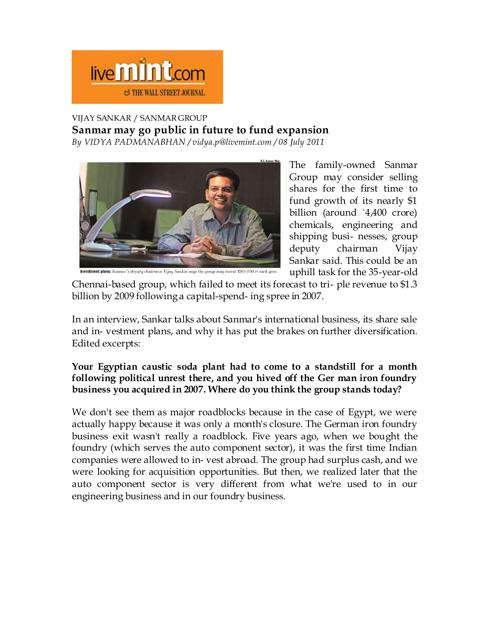# live **mint**.com **STHE WALL STREET JOURNAL**

## VIJAY SANKAR / SANMAR GROUP

**Sanmar may go public in future to fund expansion**

*By VIDYA PADMANABHAN / vidya.p@livemint.com / 08 July 2011*



The family-owned Sanmar Group may consider selling shares for the first time to fund growth of its nearly \$1 billion (around `4,400 crore) chemicals, engineering and shipping busi- nesses, group deputy chairman Vijay Sankar said. This could be an uphill task for the 35-year-old

Chennai-based group, which failed to meet its forecast to tri- ple revenue to \$1.3 billion by 2009 following a capital-spend- ing spree in 2007.

In an interview, Sankar talks about Sanmar's international business, its share sale and in- vestment plans, and why it has put the brakes on further diversification. Edited excerpts:

# **Your Egyptian caustic soda plant had to come to a standstill for a month following political unrest there, and you hived off the Ger man iron foundry business you acquired in 2007. Where do you think the group stands today?**

We don't see them as major roadblocks because in the case of Egypt, we were actually happy because it was only a month's closure. The German iron foundry business exit wasn't really a roadblock. Five years ago, when we bought the foundry (which serves the auto component sector), it was the first time Indian companies were allowed to in- vest abroad. The group had surplus cash, and we were looking for acquisition opportunities. But then, we realized later that the auto component sector is very different from what we're used to in our engineering business and in our foundry business.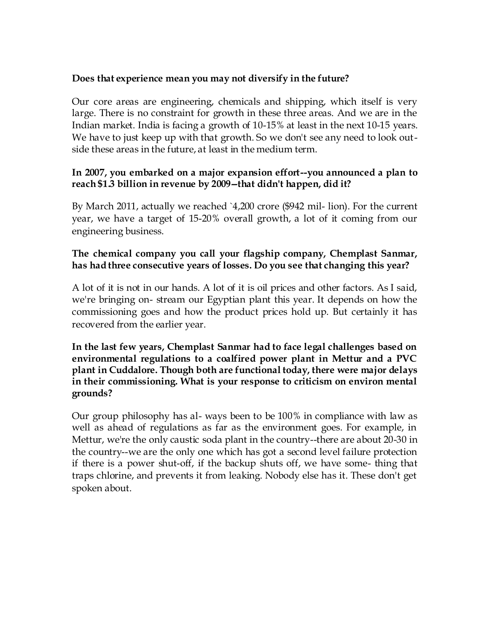# **Does that experience mean you may not diversify in the future?**

Our core areas are engineering, chemicals and shipping, which itself is very large. There is no constraint for growth in these three areas. And we are in the Indian market. India is facing a growth of 10-15% at least in the next 10-15 years. We have to just keep up with that growth. So we don't see any need to look outside these areas in the future, at least in the medium term.

#### **In 2007, you embarked on a major expansion effort--you announced a plan to reach \$1.3 billion in revenue by 2009--that didn't happen, did it?**

By March 2011, actually we reached `4,200 crore (\$942 mil- lion). For the current year, we have a target of 15-20% overall growth, a lot of it coming from our engineering business.

# **The chemical company you call your flagship company, Chemplast Sanmar, has had three consecutive years of losses. Do you see that changing this year?**

A lot of it is not in our hands. A lot of it is oil prices and other factors. As I said, we're bringing on- stream our Egyptian plant this year. It depends on how the commissioning goes and how the product prices hold up. But certainly it has recovered from the earlier year.

#### **In the last few years, Chemplast Sanmar had to face legal challenges based on environmental regulations to a coalfired power plant in Mettur and a PVC plant in Cuddalore. Though both are functional today, there were major delays in their commissioning. What is your response to criticism on environ mental grounds?**

Our group philosophy has al- ways been to be 100% in compliance with law as well as ahead of regulations as far as the environment goes. For example, in Mettur, we're the only caustic soda plant in the country--there are about 20-30 in the country--we are the only one which has got a second level failure protection if there is a power shut-off, if the backup shuts off, we have some- thing that traps chlorine, and prevents it from leaking. Nobody else has it. These don't get spoken about.